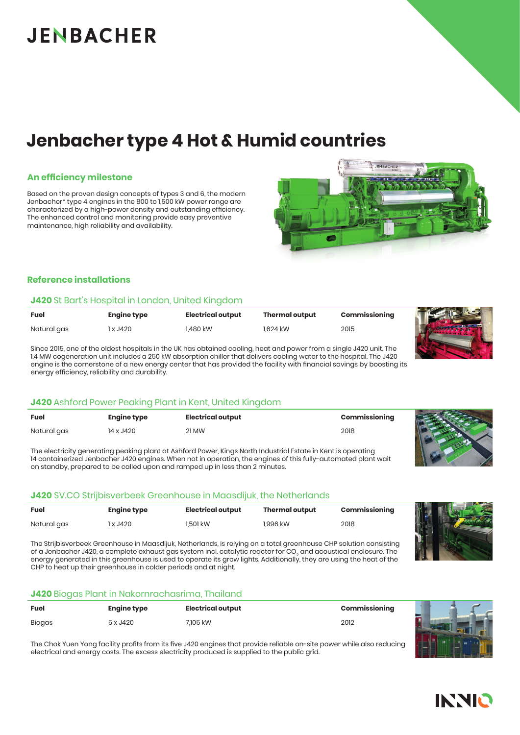# **JENBACHER**

# **Jenbacher type 4 Hot & Humid countries**

#### **An efficiency milestone**

Based on the proven design concepts of types 3 and 6, the modern Jenbacher\* type 4 engines in the 800 to 1,500 kW power range are characterized by a high-power density and outstanding efficiency. The enhanced control and monitoring provide easy preventive maintenance, high reliability and availability.

#### **Reference installations**

#### **J420** St Bart's Hospital in London, United Kingdom

| <b>Fuel</b> | Engine type | <b>Electrical output</b> | <b>Thermal output</b> | Commissioning |
|-------------|-------------|--------------------------|-----------------------|---------------|
| Natural gas | x J420      | 1.480 kW                 | 1.624 kW              | 2015          |

Since 2015, one of the oldest hospitals in the UK has obtained cooling, heat and power from a single J420 unit. The 1.4 MW cogeneration unit includes a 250 kW absorption chiller that delivers cooling water to the hospital. The J420 engine is the cornerstone of a new energy center that has provided the facility with financial savings by boosting its energy efficiency, reliability and durability.

#### **J420** Ashford Power Peaking Plant in Kent, United Kingdom

| <b>Fuel</b> | <b>Engine type</b> | <b>Electrical output</b> | Commissioning |  |
|-------------|--------------------|--------------------------|---------------|--|
| Natural gas | 14 x J420          | 21 MW                    | 2018          |  |

The electricity generating peaking plant at Ashford Power, Kings North Industrial Estate in Kent is operating 14 containerized Jenbacher J420 engines. When not in operation, the engines of this fully-automated plant wait on standby, prepared to be called upon and ramped up in less than 2 minutes.

#### **J420** SV.CO Strijbisverbeek Greenhouse in Maasdijuk, the Netherlands

| Fuel        | Engine type | Electrical output | Thermal output | Commissioning |
|-------------|-------------|-------------------|----------------|---------------|
| Natural gas | 1 x J420    | 1.501 kW          | 1.996 kW       | 2018          |

The Strijbisverbeek Greenhouse in Maasdijuk, Netherlands, is relying on a total greenhouse CHP solution consisting of a Jenbacher J420, a complete exhaust gas system incl. catalytic reactor for CO<sub>2</sub> and acoustical enclosure. The energy generated in this greenhouse is used to operate its grow lights. Additionally, they are using the heat of the CHP to heat up their greenhouse in colder periods and at night.

#### **J420** Biogas Plant in Nakornrachasrima, Thailand

| <b>Fuel</b>   | <b>Engine type</b> | <b>Electrical output</b> | Commissioning |  |  |
|---------------|--------------------|--------------------------|---------------|--|--|
| <b>Biogas</b> | 5 x J420           | 7.105 kW                 | 2012          |  |  |

The Chok Yuen Yong facility profits from its five J420 engines that provide reliable on-site power while also reducing electrical and energy costs. The excess electricity produced is supplied to the public grid.



JENBACHER